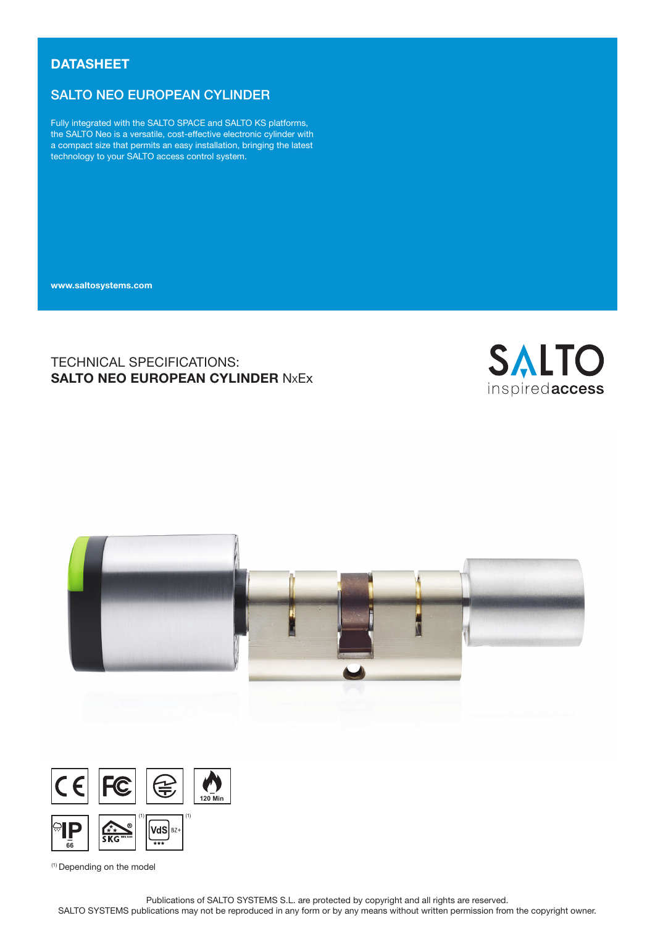# **DATASHEET**

# SALTO NEO EUROPEAN CYLINDER

Fully integrated with the SALTO SPACE and SALTO KS platforms, the SALTO Neo is a versatile, cost-effective electronic cylinder with a compact size that permits an easy installation, bringing the latest technology to your SALTO access control system.

www.saltosystems.com

# TECHNICAL SPECIFICATIONS: SALTO NEO EUROPEAN CYLINDER NxEx







(1) Depending on the model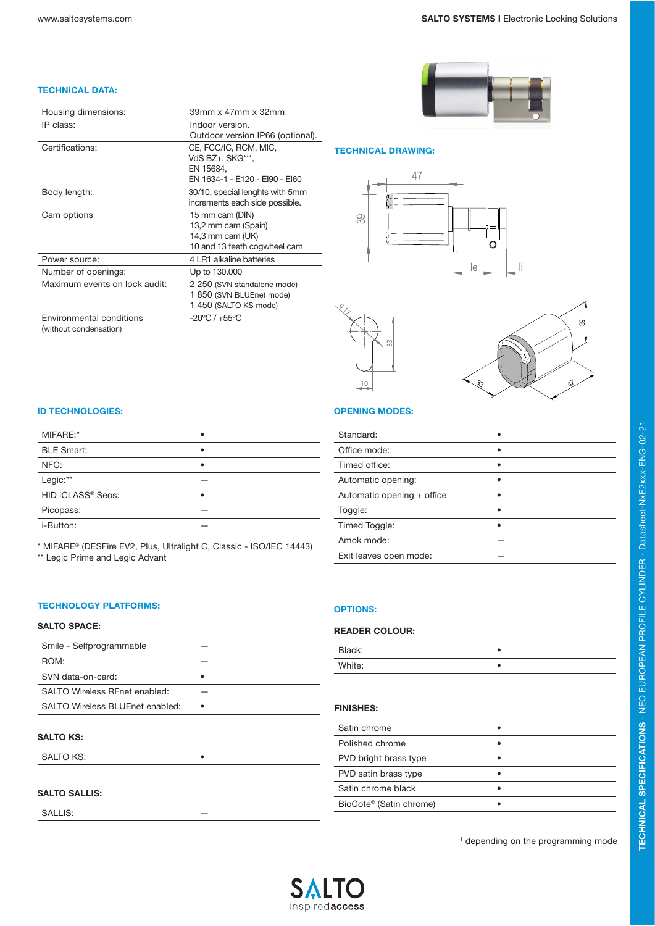#### TECHNICAL DATA:

| Housing dimensions:           | 39mm x 47mm x 32mm               |
|-------------------------------|----------------------------------|
| IP class:                     | Indoor version.                  |
|                               | Outdoor version IP66 (optional). |
| Certifications:               | CE, FCC/IC, RCM, MIC,            |
|                               | VdS BZ+, SKG***,                 |
|                               | EN 15684.                        |
|                               | EN 1634-1 - E120 - EI90 - EI60   |
| Body length:                  | 30/10, special lenghts with 5mm  |
|                               | increments each side possible.   |
| Cam options                   | 15 mm cam (DIN)                  |
|                               | 13,2 mm cam (Spain)              |
|                               | 14,3 mm cam (UK)                 |
|                               | 10 and 13 teeth cogwheel cam     |
| Power source:                 | 4 LR1 alkaline batteries         |
| Number of openings:           | Up to 130,000                    |
| Maximum events on lock audit: | 2 250 (SVN standalone mode)      |
|                               | 1 850 (SVN BLUEnet mode)         |
|                               | 1 450 (SALTO KS mode)            |
| Environmental conditions      | $-20$ °C / $+55$ °C              |
| (without condensation)        |                                  |



#### TECHNICAL DRAWING:







#### ID TECHNOLOGIES:

| MIFARE:* |  |
|----------|--|

| MIFARE:*          |   |
|-------------------|---|
| <b>BLE Smart:</b> |   |
| NFC:              |   |
| Legic:**          |   |
| HID iCLASS® Seos: | ٠ |
| Picopass:         |   |
| i-Button:         |   |
|                   |   |

\* MIFARE® (DESFire EV2, Plus, Ultralight C, Classic - ISO/IEC 14443) \*\* Legic Prime and Legic Advant

#### TECHNOLOGY PLATFORMS:

#### SALTO SPACE:

| Smile - Selfprogrammable        |   |
|---------------------------------|---|
| ROM:                            |   |
| SVN data-on-card:               |   |
| SALTO Wireless REnet enabled:   |   |
| SALTO Wireless BLUEnet enabled: | ٠ |

#### SALTO KS:

SALTO KS:

#### SALTO SALLIS:

SALLIS:

### OPENING MODES:

| Standard:                  |  |
|----------------------------|--|
| Office mode:               |  |
| Timed office:              |  |
| Automatic opening:         |  |
| Automatic opening + office |  |
| Toggle:                    |  |
| Timed Toggle:              |  |
| Amok mode:                 |  |
| Exit leaves open mode:     |  |
|                            |  |

## OPTIONS:

#### READER COLOUR:

| Black: |  |
|--------|--|
| White: |  |

#### FINISHES:

<sup>1</sup> depending on the programming mode



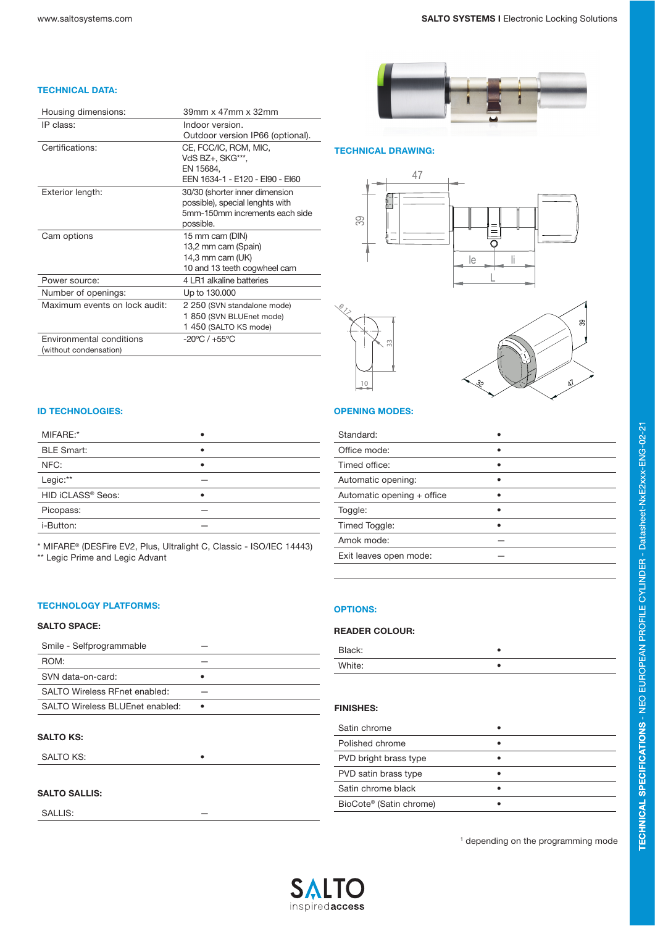#### TECHNICAL DATA:

| Housing dimensions:           | 39mm x 47mm x 32mm                                                |
|-------------------------------|-------------------------------------------------------------------|
| IP class:                     | Indoor version.                                                   |
|                               | Outdoor version IP66 (optional).                                  |
| Certifications:               | CE, FCC/IC, RCM, MIC,                                             |
|                               | VdS BZ+, SKG***,                                                  |
|                               | EN 15684.                                                         |
|                               | EEN 1634-1 - E120 - EI90 - EI60                                   |
| Exterior length:              | 30/30 (shorter inner dimension<br>possible), special lenghts with |
|                               | 5mm-150mm increments each side                                    |
|                               | possible.                                                         |
| Cam options                   | 15 mm cam (DIN)                                                   |
|                               | 13,2 mm cam (Spain)                                               |
|                               | 14,3 mm cam $(UK)$                                                |
|                               | 10 and 13 teeth cogwheel cam                                      |
| Power source:                 | 4 LR1 alkaline batteries                                          |
| Number of openings:           | Up to 130,000                                                     |
| Maximum events on lock audit: | 2 250 (SVN standalone mode)                                       |
|                               | 1 850 (SVN BLUEnet mode)                                          |
|                               | 1450 (SALTO KS mode)                                              |
| Environmental conditions      | $-20^{\circ}$ C / $+55^{\circ}$ C                                 |
| (without condensation)        |                                                                   |



#### TECHNICAL DRAWING:







#### ID TECHNOLOGIES:

| MIFARF:*          |   |
|-------------------|---|
| <b>BLE Smart:</b> | ٠ |
| NFC:              | ٠ |
| Legic:**          |   |
| HID iCLASS® Seos: | ٠ |
| Picopass:         |   |
| i-Button:         |   |
|                   |   |

\* MIFARE® (DESFire EV2, Plus, Ultralight C, Classic - ISO/IEC 14443) \*\* Legic Prime and Legic Advant

#### TECHNOLOGY PLATFORMS:

#### SALTO SPACE:

| Smile - Selfprogrammable        |   |
|---------------------------------|---|
| ROM:                            |   |
| SVN data-on-card:               |   |
| SALTO Wireless REnet enabled:   |   |
| SALTO Wireless BLUEnet enabled: | ٠ |

#### SALTO KS:

SALTO KS:

#### SALTO SALLIS:

SALLIS:

## OPENING MODES:

| Standard:                  |  |
|----------------------------|--|
| Office mode:               |  |
| Timed office:              |  |
| Automatic opening:         |  |
| Automatic opening + office |  |
| Toggle:                    |  |
| Timed Toggle:              |  |
| Amok mode:                 |  |
| Exit leaves open mode:     |  |
|                            |  |

## OPTIONS:

#### READER COLOUR:

| Black: |  |
|--------|--|
| White: |  |

#### FINISHES:

| Satin chrome                        |  |
|-------------------------------------|--|
| Polished chrome                     |  |
| PVD bright brass type               |  |
| PVD satin brass type                |  |
| Satin chrome black                  |  |
| BioCote <sup>®</sup> (Satin chrome) |  |

<sup>1</sup> depending on the programming mode